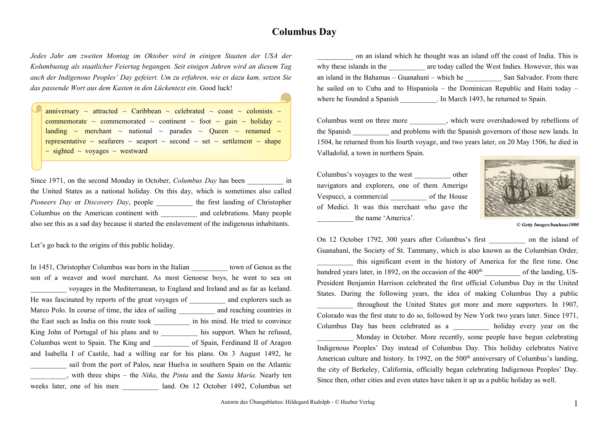## **Columbus Day**

*Jedes Jahr am zweiten Montag im Oktober wird in einigen Staaten der USA der Kolumbustag als staatlicher Feiertag begangen. Seit einigen Jahren wird an diesem Tag auch der Indigenous Peoples' Day gefeiert. Um zu erfahren, wie es dazu kam, setzen Sie das passende Wort aus dem Kasten in den Lückentext ein*. Good luck!

anniversary  $\sim$  attracted  $\sim$  Caribbean  $\sim$  celebrated  $\sim$  coast  $\sim$  colonists  $\sim$ commemorate  $\sim$  commemorated  $\sim$  continent  $\sim$  foot  $\sim$  gain  $\sim$  holiday  $\sim$ landing  $\sim$  merchant  $\sim$  national  $\sim$  parades  $\sim$  Queen  $\sim$  renamed  $\sim$ representative  $\sim$  seafarers  $\sim$  seaport  $\sim$  second  $\sim$  set  $\sim$  settlement  $\sim$  shape  $\sim$  sighted  $\sim$  voyages  $\sim$  westward

Since 1971, on the second Monday in October, *Columbus Day* has been in the United States as a national holiday. On this day, which is sometimes also called *Pioneers Day* or *Discovery Day*, people \_\_\_\_\_\_\_\_\_\_ the first landing of Christopher Columbus on the American continent with \_\_\_\_\_\_\_\_\_\_ and celebrations. Many people also see this as a sad day because it started the enslavement of the indigenous inhabitants.

Let's go back to the origins of this public holiday.

In 1451, Christopher Columbus was born in the Italian town of Genoa as the son of a weaver and wool merchant. As most Genoese boys, he went to sea on \_\_\_\_\_\_\_\_\_\_ voyages in the Mediterranean, to England and Ireland and as far as Iceland. He was fascinated by reports of the great voyages of and explorers such as Marco Polo. In course of time, the idea of sailing and reaching countries in the East such as India on this route took \_\_\_\_\_\_\_\_\_\_ in his mind. He tried to convince King John of Portugal of his plans and to his support. When he refused, Columbus went to Spain. The King and of Spain, Ferdinand II of Aragon and Isabella I of Castile, had a willing ear for his plans. On 3 August 1492, he sail from the port of Palos, near Huelva in southern Spain on the Atlantic \_\_\_\_\_\_\_\_\_\_, with three ships – the *Niña*, the *Pinta* and the *Santa María*. Nearly ten weeks later, one of his men land. On 12 October 1492, Columbus set

\_\_\_\_\_\_\_\_\_\_ on an island which he thought was an island off the coast of India. This is why these islands in the  $\qquad \qquad$  are today called the West Indies. However, this was an island in the Bahamas – Guanahaní – which he  $\sum$  San Salvador. From there he sailed on to Cuba and to Hispaniola – the Dominican Republic and Haiti today – where he founded a Spanish . In March 1493, he returned to Spain.

Columbus went on three more \_\_\_\_\_\_\_\_, which were overshadowed by rebellions of the Spanish and problems with the Spanish governors of those new lands. In 1504, he returned from his fourth voyage, and two years later, on 20 May 1506, he died in Valladolid, a town in northern Spain.

Columbus's voyages to the west \_\_\_\_\_\_\_\_\_\_ other navigators and explorers, one of them Amerigo Vespucci, a commercial of the House of Medici. It was this merchant who gave the the name 'America'.



*© Getty Image[s/bauhaus1000](https://www.gettyimages.de/search/photographer?family=creative&photographer=bauhaus1000)*

On 12 October 1792, 300 years after Columbus's first \_\_\_\_\_\_\_\_\_\_ on the island of Guanahaní, the Society of St. Tammany, which is also known as the Columbian Order, this significant event in the history of America for the first time. One

hundred years later, in 1892, on the occasion of the  $400<sup>th</sup>$  of the landing, US-President Benjamin Harrison celebrated the first official Columbus Day in the United States. During the following years, the idea of making Columbus Day a public \_\_\_\_\_\_\_\_\_\_ throughout the United States got more and more supporters. In 1907, Colorado was the first state to do so, followed by New York two years later. Since 1971, Columbus Day has been celebrated as a holiday every year on the Monday in October. More recently, some people have begun celebrating Indigenous Peoples' Day instead of Columbus Day. This holiday celebrates Native American culture and history. In 1992, on the  $500<sup>th</sup>$  anniversary of Columbus's landing, the city of Berkeley, California, officially began celebrating Indigenous Peoples' Day. Since then, other cities and even states have taken it up as a public holiday as well.